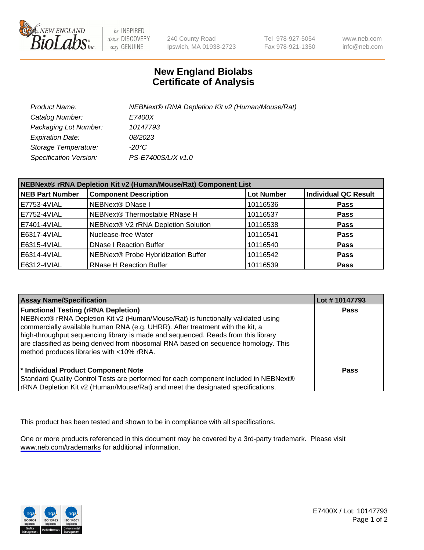

be INSPIRED drive DISCOVERY stay GENUINE

240 County Road Ipswich, MA 01938-2723 Tel 978-927-5054 Fax 978-921-1350

www.neb.com info@neb.com

## **New England Biolabs Certificate of Analysis**

| Product Name:                 | NEBNext® rRNA Depletion Kit v2 (Human/Mouse/Rat) |
|-------------------------------|--------------------------------------------------|
| Catalog Number:               | <i>E7400X</i>                                    |
| Packaging Lot Number:         | 10147793                                         |
| <b>Expiration Date:</b>       | 08/2023                                          |
| Storage Temperature:          | -20°C                                            |
| <b>Specification Version:</b> | PS-E7400S/L/X v1.0                               |

| NEBNext® rRNA Depletion Kit v2 (Human/Mouse/Rat) Component List |                                     |                   |                             |  |
|-----------------------------------------------------------------|-------------------------------------|-------------------|-----------------------------|--|
| <b>NEB Part Number</b>                                          | <b>Component Description</b>        | <b>Lot Number</b> | <b>Individual QC Result</b> |  |
| E7753-4VIAL                                                     | <b>NEBNext® DNase I</b>             | 10116536          | <b>Pass</b>                 |  |
| E7752-4VIAL                                                     | NEBNext® Thermostable RNase H       | 10116537          | <b>Pass</b>                 |  |
| E7401-4VIAL                                                     | NEBNext® V2 rRNA Depletion Solution | 10116538          | <b>Pass</b>                 |  |
| E6317-4VIAL                                                     | Nuclease-free Water                 | 10116541          | <b>Pass</b>                 |  |
| E6315-4VIAL                                                     | <b>DNase I Reaction Buffer</b>      | 10116540          | <b>Pass</b>                 |  |
| E6314-4VIAL                                                     | NEBNext® Probe Hybridization Buffer | 10116542          | <b>Pass</b>                 |  |
| E6312-4VIAL                                                     | <b>RNase H Reaction Buffer</b>      | 10116539          | <b>Pass</b>                 |  |

| <b>Assay Name/Specification</b>                                                                                                                                                                                                                                                                                                                                                                                                          | Lot #10147793 |
|------------------------------------------------------------------------------------------------------------------------------------------------------------------------------------------------------------------------------------------------------------------------------------------------------------------------------------------------------------------------------------------------------------------------------------------|---------------|
| <b>Functional Testing (rRNA Depletion)</b><br>NEBNext® rRNA Depletion Kit v2 (Human/Mouse/Rat) is functionally validated using<br>commercially available human RNA (e.g. UHRR). After treatment with the kit, a<br>high-throughput sequencing library is made and sequenced. Reads from this library<br>are classified as being derived from ribosomal RNA based on sequence homology. This<br>method produces libraries with <10% rRNA. | <b>Pass</b>   |
| * Individual Product Component Note<br>Standard Quality Control Tests are performed for each component included in NEBNext®<br>rRNA Depletion Kit v2 (Human/Mouse/Rat) and meet the designated specifications.                                                                                                                                                                                                                           | Pass          |

This product has been tested and shown to be in compliance with all specifications.

One or more products referenced in this document may be covered by a 3rd-party trademark. Please visit <www.neb.com/trademarks>for additional information.